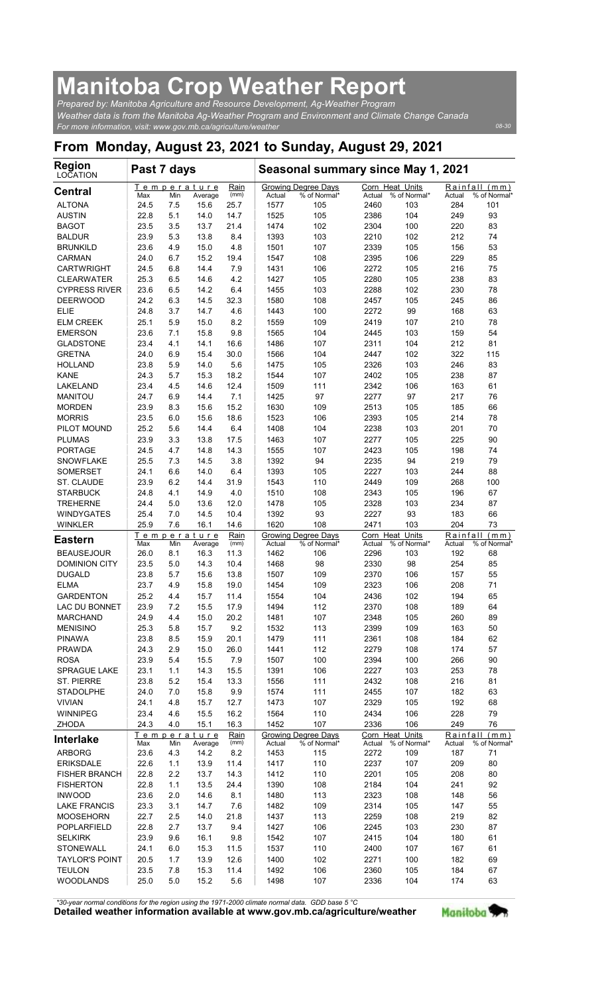## Manitoba Crop Weather Report

| <b>Manitoba Crop Weather Report</b><br>Prepared by: Manitoba Agriculture and Resource Development, Ag-Weather Program                                            |              |            |                                |                     |                |                                     |                |                                        |                           |                               |
|------------------------------------------------------------------------------------------------------------------------------------------------------------------|--------------|------------|--------------------------------|---------------------|----------------|-------------------------------------|----------------|----------------------------------------|---------------------------|-------------------------------|
| Weather data is from the Manitoba Ag-Weather Program and Environment and Climate Change Canada<br>For more information, visit: www.gov.mb.ca/agriculture/weather |              |            |                                |                     |                |                                     |                |                                        |                           | 08-30                         |
| From Monday, August 23, 2021 to Sunday, August 29, 2021                                                                                                          |              |            |                                |                     |                |                                     |                |                                        |                           |                               |
| <b>Region</b><br>LOCATION                                                                                                                                        | Past 7 days  |            |                                |                     |                | Seasonal summary since May 1, 2021  |                |                                        |                           |                               |
| <b>Central</b>                                                                                                                                                   | Max          | Min        | Temperature<br>Average         | Rain<br>(mm)        | Actual         | Growing Degree Days<br>% of Normal* | Actual         | Corn Heat Units<br>% of Normal*        | Actual                    | Rainfall (mm)<br>% of Normal' |
| <b>ALTONA</b><br><b>AUSTIN</b>                                                                                                                                   | 24.5<br>22.8 | 7.5<br>5.1 | 15.6<br>14.0                   | 25.7<br>14.7        | 1577<br>1525   | 105<br>105                          | 2460<br>2386   | 103<br>104                             | 284<br>249                | 101<br>93                     |
| <b>BAGOT</b><br><b>BALDUR</b>                                                                                                                                    | 23.5<br>23.9 | 3.5<br>5.3 | 13.7<br>13.8                   | 21.4<br>8.4         | 1474<br>1393   | 102<br>103                          | 2304<br>2210   | 100<br>102                             | 220<br>212                | 83<br>74                      |
| <b>BRUNKILD</b><br><b>CARMAN</b>                                                                                                                                 | 23.6<br>24.0 | 4.9<br>6.7 | 15.0<br>15.2                   | 4.8<br>19.4         | 1501<br>1547   | 107<br>108                          | 2339<br>2395   | 105<br>106                             | 156<br>229                | 53<br>85                      |
| <b>CARTWRIGHT</b><br><b>CLEARWATER</b>                                                                                                                           | 24.5<br>25.3 | 6.8<br>6.5 | 14.4<br>14.6                   | 7.9<br>4.2          | 1431<br>1427   | 106<br>105                          | 2272<br>2280   | 105<br>105                             | 216<br>238                | 75<br>83                      |
| <b>CYPRESS RIVER</b>                                                                                                                                             | 23.6         | 6.5        | 14.2                           | 6.4                 | 1455           | 103                                 | 2288           | 102                                    | 230                       | 78                            |
| <b>DEERWOOD</b><br><b>ELIE</b>                                                                                                                                   | 24.2<br>24.8 | 6.3<br>3.7 | 14.5<br>14.7                   | 32.3<br>4.6         | 1580<br>1443   | 108<br>100                          | 2457<br>2272   | 105<br>99                              | 245<br>168                | 86<br>63                      |
| <b>ELM CREEK</b><br><b>EMERSON</b>                                                                                                                               | 25.1<br>23.6 | 5.9<br>7.1 | 15.0<br>15.8                   | 8.2<br>9.8          | 1559<br>1565   | 109<br>104                          | 2419<br>2445   | 107<br>103                             | 210<br>159                | 78<br>54                      |
| <b>GLADSTONE</b>                                                                                                                                                 | 23.4         | 4.1        | 14.1                           | 16.6                | 1486           | 107                                 | 2311           | 104                                    | 212                       | 81                            |
| <b>GRETNA</b><br><b>HOLLAND</b>                                                                                                                                  | 24.0<br>23.8 | 6.9<br>5.9 | 15.4<br>14.0                   | 30.0<br>5.6         | 1566<br>1475   | 104<br>105                          | 2447<br>2326   | 102<br>103                             | 322<br>246                | 115<br>83                     |
| <b>KANE</b>                                                                                                                                                      | 24.3         | 5.7        | 15.3                           | 18.2                | 1544           | 107                                 | 2402           | 105                                    | 238                       | 87                            |
| LAKELAND<br><b>MANITOU</b>                                                                                                                                       | 23.4<br>24.7 | 4.5<br>6.9 | 14.6<br>14.4                   | 12.4<br>7.1         | 1509<br>1425   | 111<br>97                           | 2342<br>2277   | 106<br>97                              | 163<br>217                | 61<br>76                      |
| <b>MORDEN</b><br><b>MORRIS</b>                                                                                                                                   | 23.9<br>23.5 | 8.3<br>6.0 | 15.6<br>15.6                   | 15.2<br>18.6        | 1630<br>1523   | 109<br>106                          | 2513<br>2393   | 105<br>105                             | 185<br>214                | 66<br>78                      |
| PILOT MOUND                                                                                                                                                      | 25.2         | 5.6        | 14.4                           | 6.4                 | 1408           | 104                                 | 2238           | 103                                    | 201                       | 70                            |
| <b>PLUMAS</b><br>PORTAGE                                                                                                                                         | 23.9<br>24.5 | 3.3<br>4.7 | 13.8<br>14.8                   | 17.5<br>14.3        | 1463<br>1555   | 107<br>107                          | 2277<br>2423   | 105<br>105                             | 225<br>198                | 90<br>74                      |
| <b>SNOWFLAKE</b><br><b>SOMERSET</b>                                                                                                                              | 25.5<br>24.1 | 7.3<br>6.6 | 14.5<br>14.0                   | 3.8<br>6.4          | 1392<br>1393   | 94<br>105                           | 2235<br>2227   | 94<br>103                              | 219<br>244                | 79<br>88                      |
| ST. CLAUDE                                                                                                                                                       | 23.9         | 6.2        | 14.4                           | 31.9                | 1543           | 110                                 | 2449           | 109                                    | 268                       | 100                           |
| <b>STARBUCK</b><br><b>TREHERNE</b>                                                                                                                               | 24.8<br>24.4 | 4.1<br>5.0 | 14.9<br>13.6                   | 4.0<br>12.0         | 1510<br>1478   | 108<br>105                          | 2343<br>2328   | 105<br>103                             | 196<br>234                | 67<br>87                      |
| <b>WINDYGATES</b>                                                                                                                                                | 25.4         | 7.0        | 14.5                           | 10.4                | 1392           | 93                                  | 2227           | 93                                     | 183                       | 66                            |
| <b>WINKLER</b><br><b>Eastern</b>                                                                                                                                 | 25.9         | 7.6        | 16.1<br>Temperature            | 14.6<br>Rain        | 1620           | 108<br>Growing Degree Days          | 2471           | 103<br>Corn Heat Units                 | 204<br>Rainfall           | 73<br>(mm)                    |
| <b>BEAUSEJOUR</b>                                                                                                                                                | Max<br>26.0  | Min<br>8.1 | Average<br>16.3                | (mm)<br>11.3        | Actual<br>1462 | % of Normal*<br>106                 | Actual<br>2296 | % of Normal*<br>103                    | Actual<br>192             | % of Normal'<br>68            |
| <b>DOMINION CITY</b><br><b>DUGALD</b>                                                                                                                            | 23.5<br>23.8 | 5.0<br>5.7 | 14.3<br>15.6                   | 10.4<br>13.8        | 1468<br>1507   | 98<br>109                           | 2330<br>2370   | 98<br>106                              | 254<br>157                | 85<br>55                      |
| <b>ELMA</b>                                                                                                                                                      | 23.7         | 4.9        | 15.8                           | 19.0                | 1454           | 109                                 | 2323           | 106                                    | 208                       | 71                            |
| <b>GARDENTON</b><br>LAC DU BONNET                                                                                                                                | 25.2<br>23.9 | 4.4<br>7.2 | 15.7<br>15.5                   | 11.4<br>17.9        | 1554<br>1494   | 104<br>112                          | 2436<br>2370   | 102<br>108                             | 194<br>189                | 65<br>64                      |
| <b>MARCHAND</b><br><b>MENISINO</b>                                                                                                                               | 24.9<br>25.3 | 4.4<br>5.8 | 15.0<br>15.7                   | 20.2<br>9.2         | 1481<br>1532   | 107<br>113                          | 2348<br>2399   | 105<br>109                             | 260<br>163                | 89                            |
| <b>PINAWA</b>                                                                                                                                                    | 23.8         | 8.5        | 15.9                           | 20.1                | 1479           | 111                                 | 2361           | 108                                    | 184                       | 50<br>62                      |
| <b>PRAWDA</b><br><b>ROSA</b>                                                                                                                                     | 24.3<br>23.9 | 2.9<br>5.4 | 15.0<br>15.5                   | 26.0<br>7.9         | 1441<br>1507   | 112<br>100                          | 2279<br>2394   | 108<br>100                             | 174<br>266                | 57<br>90                      |
| SPRAGUE LAKE                                                                                                                                                     | 23.1         | 1.1        | 14.3                           | 15.5                | 1391           | 106                                 | 2227           | 103                                    | 253                       | 78                            |
| ST. PIERRE<br><b>STADOLPHE</b>                                                                                                                                   | 23.8<br>24.0 | 5.2<br>7.0 | 15.4<br>15.8                   | 13.3<br>9.9         | 1556<br>1574   | 111<br>111                          | 2432<br>2455   | 108<br>107                             | 216<br>182                | 81<br>63                      |
| <b>VIVIAN</b><br>WINNIPEG                                                                                                                                        | 24.1<br>23.4 | 4.8<br>4.6 | 15.7<br>15.5                   | 12.7<br>16.2        | 1473<br>1564   | 107<br>110                          | 2329<br>2434   | 105<br>106                             | 192<br>228                | 68<br>79                      |
| ZHODA                                                                                                                                                            | 24.3         | 4.0        | 15.1                           | 16.3                | 1452           | 107<br>Growing Degree Days          | 2336           | 106                                    | 249                       | 76                            |
| <b>Interlake</b><br><b>ARBORG</b>                                                                                                                                | Max<br>23.6  | Min<br>4.3 | Temperature<br>Average<br>14.2 | Rain<br>(mm)<br>8.2 | Actual<br>1453 | % of Normal*<br>115                 | Actual<br>2272 | Corn Heat Units<br>% of Normal*<br>109 | Rainfall<br>Actual<br>187 | (mm)<br>% of Normal'<br>71    |
| <b>ERIKSDALE</b>                                                                                                                                                 | 22.6         | 1.1        | 13.9                           | 11.4                | 1417           | 110                                 | 2237           | 107                                    | 209                       | 80                            |
| <b>FISHER BRANCH</b><br><b>FISHERTON</b>                                                                                                                         | 22.8<br>22.8 | 2.2<br>1.1 | 13.7<br>13.5                   | 14.3<br>24.4        | 1412<br>1390   | 110<br>108                          | 2201<br>2184   | 105<br>104                             | 208<br>241                | 80<br>92                      |
| <b>INWOOD</b>                                                                                                                                                    | 23.6         | 2.0        | 14.6                           | 8.1                 | 1480           | 113                                 | 2323           | 108                                    | 148                       | 56                            |
| <b>LAKE FRANCIS</b><br><b>MOOSEHORN</b>                                                                                                                          | 23.3<br>22.7 | 3.1<br>2.5 | 14.7<br>14.0                   | 7.6<br>21.8         | 1482<br>1437   | 109<br>113                          | 2314<br>2259   | 105<br>108                             | 147<br>219                | 55<br>82                      |
| POPLARFIELD<br><b>SELKIRK</b>                                                                                                                                    | 22.8<br>23.9 | 2.7<br>9.6 | 13.7<br>16.1                   | 9.4<br>9.8          | 1427<br>1542   | 106<br>107                          | 2245<br>2415   | 103<br>104                             | 230<br>180                | 87<br>61                      |
| <b>STONEWALL</b>                                                                                                                                                 | 24.1         | 6.0        | 15.3                           | 11.5                | 1537           | 110                                 | 2400           | 107                                    | 167                       | 61                            |
| <b>TAYLOR'S POINT</b><br><b>TEULON</b>                                                                                                                           | 20.5<br>23.5 | 1.7<br>7.8 | 13.9<br>15.3                   | 12.6<br>11.4        | 1400<br>1492   | 102<br>106                          | 2271<br>2360   | 100<br>105                             | 182<br>184                | 69<br>67                      |
| <b>WOODLANDS</b>                                                                                                                                                 | 25.0         | 5.0        | 15.2                           | 5.6                 | 1498           | 107                                 | 2336           | 104                                    | 174                       | 63                            |

Detailed weather information available at www.gov.mb.ca/agriculture/weather Manitoba \*30-year normal conditions for the region using the 1971-2000 climate normal data. GDD base 5 °C